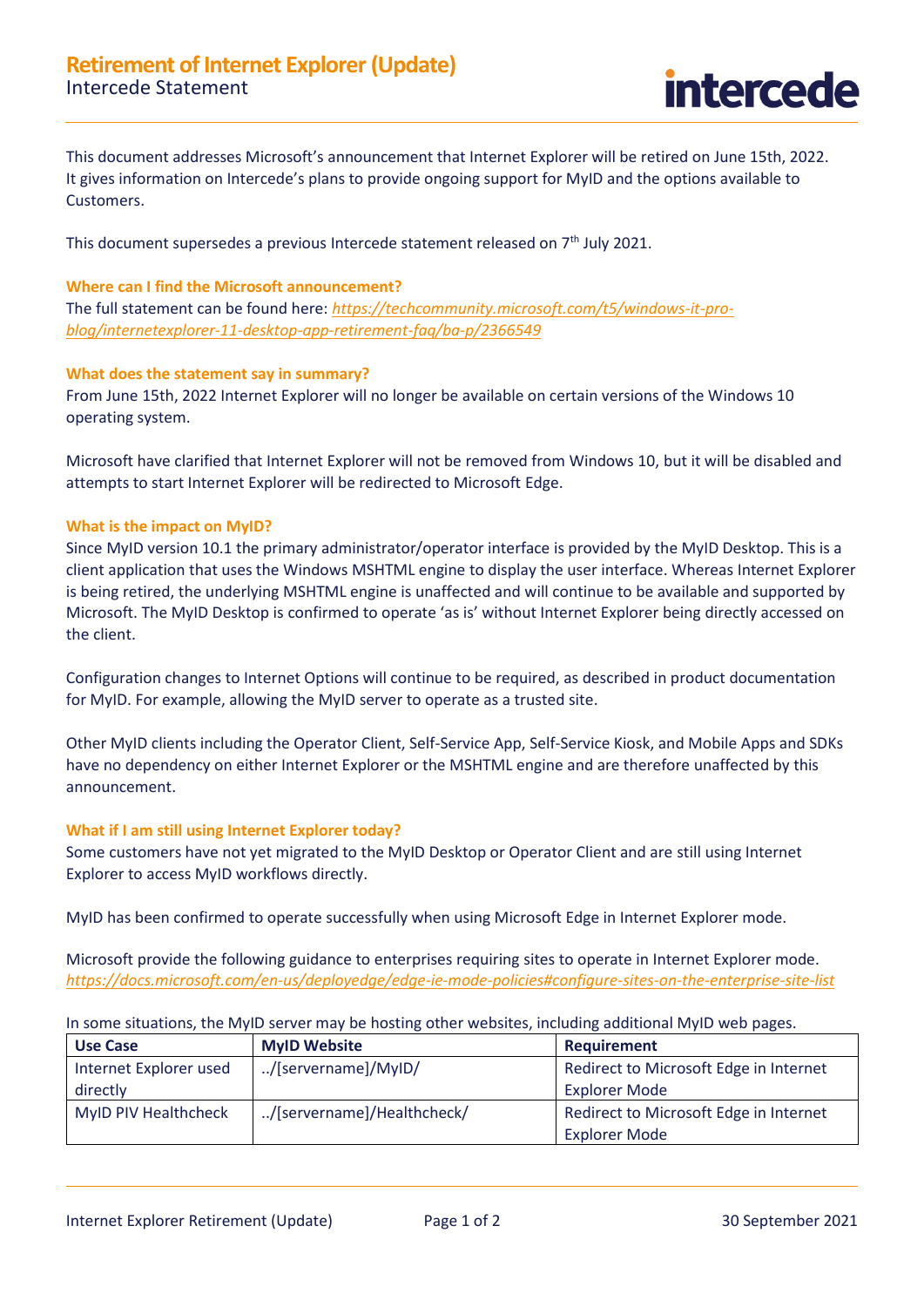

This document addresses Microsoft's announcement that Internet Explorer will be retired on June 15th, 2022. It gives information on Intercede's plans to provide ongoing support for MyID and the options available to Customers.

This document supersedes a previous Intercede statement released on  $7<sup>th</sup>$  July 2021.

# **Where can I find the Microsoft announcement?**

The full statement can be found here: *[https://techcommunity.microsoft.com/t5/windows-it-pro](https://techcommunity.microsoft.com/t5/windows-it-pro-blog/internetexplorer-11-desktop-app-retirement-faq/ba-p/2366549)[blog/internetexplorer-11-desktop-app-retirement-faq/ba-p/2366549](https://techcommunity.microsoft.com/t5/windows-it-pro-blog/internetexplorer-11-desktop-app-retirement-faq/ba-p/2366549)*

## **What does the statement say in summary?**

From June 15th, 2022 Internet Explorer will no longer be available on certain versions of the Windows 10 operating system.

Microsoft have clarified that Internet Explorer will not be removed from Windows 10, but it will be disabled and attempts to start Internet Explorer will be redirected to Microsoft Edge.

## **What is the impact on MyID?**

Since MyID version 10.1 the primary administrator/operator interface is provided by the MyID Desktop. This is a client application that uses the Windows MSHTML engine to display the user interface. Whereas Internet Explorer is being retired, the underlying MSHTML engine is unaffected and will continue to be available and supported by Microsoft. The MyID Desktop is confirmed to operate 'as is' without Internet Explorer being directly accessed on the client.

Configuration changes to Internet Options will continue to be required, as described in product documentation for MyID. For example, allowing the MyID server to operate as a trusted site.

Other MyID clients including the Operator Client, Self-Service App, Self-Service Kiosk, and Mobile Apps and SDKs have no dependency on either Internet Explorer or the MSHTML engine and are therefore unaffected by this announcement.

### **What if I am still using Internet Explorer today?**

Some customers have not yet migrated to the MyID Desktop or Operator Client and are still using Internet Explorer to access MyID workflows directly.

MyID has been confirmed to operate successfully when using Microsoft Edge in Internet Explorer mode.

Microsoft provide the following guidance to enterprises requiring sites to operate in Internet Explorer mode. *<https://docs.microsoft.com/en-us/deployedge/edge-ie-mode-policies#configure-sites-on-the-enterprise-site-list>*

In some situations, the MyID server may be hosting other websites, including additional MyID web pages.

| <b>Use Case</b>        | <b>MyID Website</b>        | <b>Requirement</b>                     |
|------------------------|----------------------------|----------------------------------------|
| Internet Explorer used | /[servername]/MyID/        | Redirect to Microsoft Edge in Internet |
| directly               |                            | Explorer Mode                          |
| MyID PIV Healthcheck   | /[servername]/Healthcheck/ | Redirect to Microsoft Edge in Internet |
|                        |                            | Explorer Mode                          |